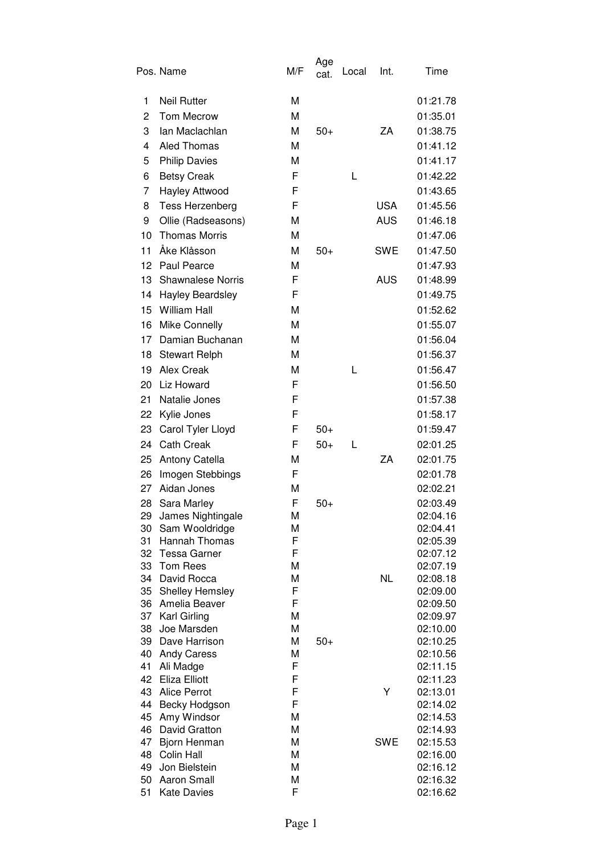|          | Pos. Name                           | M/F    | Age<br>cat. | Local | Int.       | Time                 |
|----------|-------------------------------------|--------|-------------|-------|------------|----------------------|
| 1        | <b>Neil Rutter</b>                  | М      |             |       |            | 01:21.78             |
| 2        | <b>Tom Mecrow</b>                   | M      |             |       |            | 01:35.01             |
| 3        | lan Maclachlan                      | M      | $50+$       |       | ΖA         | 01:38.75             |
| 4        | <b>Aled Thomas</b>                  | M      |             |       |            | 01:41.12             |
| 5        | <b>Philip Davies</b>                | М      |             |       |            | 01:41.17             |
| 6        | <b>Betsy Creak</b>                  | F      |             | L     |            | 01:42.22             |
| 7        | Hayley Attwood                      | F      |             |       |            | 01:43.65             |
| 8        | Tess Herzenberg                     | F      |             |       | <b>USA</b> | 01:45.56             |
| 9        | Ollie (Radseasons)                  | М      |             |       | <b>AUS</b> | 01:46.18             |
| 10       | <b>Thomas Morris</b>                | M      |             |       |            | 01:47.06             |
| 11       | Åke Klåsson                         | M      | $50+$       |       | SWE        | 01:47.50             |
| 12       | Paul Pearce                         | М      |             |       |            | 01:47.93             |
| 13       | <b>Shawnalese Norris</b>            | F      |             |       | <b>AUS</b> | 01:48.99             |
| 14       | <b>Hayley Beardsley</b>             | F      |             |       |            | 01:49.75             |
| 15       | <b>William Hall</b>                 | М      |             |       |            | 01:52.62             |
| 16       | Mike Connelly                       | M      |             |       |            | 01:55.07             |
| 17       | Damian Buchanan                     | M      |             |       |            | 01:56.04             |
| 18       | <b>Stewart Relph</b>                | М      |             |       |            | 01:56.37             |
| 19       | <b>Alex Creak</b>                   | М      |             | L     |            | 01:56.47             |
| 20       | Liz Howard                          | F      |             |       |            | 01:56.50             |
| 21       | Natalie Jones                       | F      |             |       |            | 01:57.38             |
| 22       | Kylie Jones                         | F      |             |       |            | 01:58.17             |
| 23       | Carol Tyler Lloyd                   | F      | $50+$       |       |            | 01:59.47             |
| 24       | <b>Cath Creak</b>                   | F      | $50+$       | L     |            | 02:01.25             |
| 25       | Antony Catella                      | M      |             |       | ZA         | 02:01.75             |
| 26       | Imogen Stebbings                    | F      |             |       |            | 02:01.78             |
| 27       | Aidan Jones                         | M      |             |       |            | 02:02.21             |
| 28       | Sara Marley                         | F      | $50+$       |       |            | 02:03.49             |
| 29       | James Nightingale                   | М      |             |       |            | 02:04.16             |
| 30       | Sam Wooldridge                      | М      |             |       |            | 02:04.41             |
| 31       | Hannah Thomas                       | F      |             |       |            | 02:05.39             |
| 32       | <b>Tessa Garner</b>                 | F      |             |       |            | 02:07.12             |
| 33<br>34 | Tom Rees<br>David Rocca             | М<br>М |             |       | <b>NL</b>  | 02:07.19<br>02:08.18 |
| 35       | Shelley Hemsley                     | F      |             |       |            | 02:09.00             |
| 36       | Amelia Beaver                       | F      |             |       |            | 02:09.50             |
|          | 37 Karl Girling                     | М      |             |       |            | 02:09.97             |
| 38       | Joe Marsden                         | М      |             |       |            | 02:10.00             |
| 39       | Dave Harrison                       | М      | $50+$       |       |            | 02:10.25             |
| 40       | <b>Andy Caress</b>                  | М      |             |       |            | 02:10.56             |
| 41<br>42 | Ali Madge<br>Eliza Elliott          | F<br>F |             |       |            | 02:11.15<br>02:11.23 |
| 43       | <b>Alice Perrot</b>                 | F      |             |       | Y          | 02:13.01             |
| 44       | Becky Hodgson                       | F      |             |       |            | 02:14.02             |
| 45       | Amy Windsor                         | M      |             |       |            | 02:14.53             |
| 46       | David Gratton                       | M      |             |       |            | 02:14.93             |
| 47       | Bjorn Henman                        | М      |             |       | <b>SWE</b> | 02:15.53             |
| 48       | Colin Hall                          | М      |             |       |            | 02:16.00             |
| 49<br>50 | Jon Bielstein<br><b>Aaron Small</b> | М<br>М |             |       |            | 02:16.12<br>02:16.32 |
| 51       | <b>Kate Davies</b>                  | F      |             |       |            | 02:16.62             |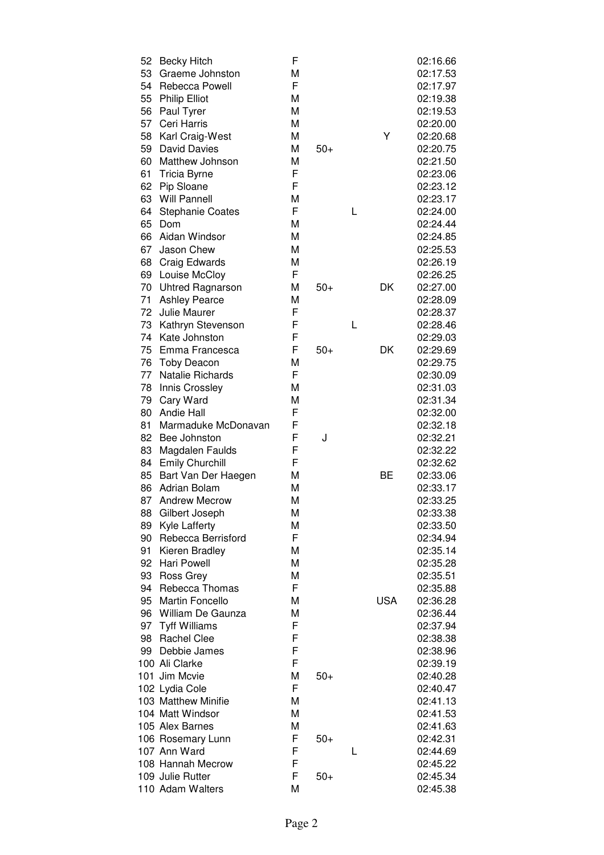| 52 | <b>Becky Hitch</b>      | F |       |   |            | 02:16.66 |
|----|-------------------------|---|-------|---|------------|----------|
| 53 | Graeme Johnston         | M |       |   |            | 02:17.53 |
| 54 | Rebecca Powell          | F |       |   |            | 02:17.97 |
| 55 | <b>Philip Elliot</b>    | M |       |   |            | 02:19.38 |
| 56 | Paul Tyrer              | M |       |   |            | 02:19.53 |
| 57 | Ceri Harris             | M |       |   |            | 02:20.00 |
| 58 | Karl Craig-West         | M |       |   | Υ          | 02:20.68 |
| 59 | <b>David Davies</b>     | M | $50+$ |   |            | 02:20.75 |
| 60 | Matthew Johnson         | M |       |   |            | 02:21.50 |
| 61 | <b>Tricia Byrne</b>     | F |       |   |            | 02:23.06 |
| 62 | Pip Sloane              | F |       |   |            | 02:23.12 |
| 63 | Will Pannell            | M |       |   |            | 02:23.17 |
| 64 | <b>Stephanie Coates</b> | F |       | L |            | 02:24.00 |
| 65 | Dom                     | M |       |   |            | 02:24.44 |
| 66 | Aidan Windsor           | M |       |   |            | 02:24.85 |
| 67 | Jason Chew              | М |       |   |            | 02:25.53 |
| 68 | Craig Edwards           | M |       |   |            | 02:26.19 |
| 69 | Louise McCloy           | F |       |   |            | 02:26.25 |
| 70 | <b>Uhtred Ragnarson</b> | M | $50+$ |   | DK         | 02:27.00 |
| 71 | <b>Ashley Pearce</b>    | M |       |   |            | 02:28.09 |
| 72 | Julie Maurer            | F |       |   |            | 02:28.37 |
| 73 | Kathryn Stevenson       | F |       | L |            | 02:28.46 |
| 74 | Kate Johnston           | F |       |   |            | 02:29.03 |
| 75 | Emma Francesca          | F | $50+$ |   | DK         | 02:29.69 |
| 76 | <b>Toby Deacon</b>      | M |       |   |            | 02:29.75 |
| 77 | Natalie Richards        | F |       |   |            | 02:30.09 |
| 78 | Innis Crossley          | M |       |   |            | 02:31.03 |
| 79 | Cary Ward               | M |       |   |            | 02:31.34 |
| 80 | Andie Hall              | F |       |   |            | 02:32.00 |
| 81 | Marmaduke McDonavan     | F |       |   |            | 02:32.18 |
| 82 | Bee Johnston            | F | J     |   |            | 02:32.21 |
| 83 | Magdalen Faulds         | F |       |   |            | 02:32.22 |
| 84 | <b>Emily Churchill</b>  | F |       |   |            | 02:32.62 |
| 85 | Bart Van Der Haegen     | М |       |   | ВE         | 02:33.06 |
| 86 | Adrian Bolam            | М |       |   |            | 02:33.17 |
| 87 | <b>Andrew Mecrow</b>    | M |       |   |            | 02:33.25 |
| 88 | Gilbert Joseph          | M |       |   |            | 02:33.38 |
| 89 | <b>Kyle Lafferty</b>    | М |       |   |            | 02:33.50 |
| 90 | Rebecca Berrisford      | F |       |   |            | 02:34.94 |
| 91 | Kieren Bradley          | M |       |   |            | 02:35.14 |
| 92 | <b>Hari Powell</b>      | M |       |   |            | 02:35.28 |
| 93 | Ross Grey               | M |       |   |            | 02:35.51 |
| 94 | Rebecca Thomas          | F |       |   |            | 02:35.88 |
|    | 95 Martin Foncello      | M |       |   | <b>USA</b> | 02:36.28 |
|    | 96 William De Gaunza    | М |       |   |            | 02:36.44 |
|    | 97 Tyff Williams        | F |       |   |            | 02:37.94 |
| 98 | <b>Rachel Clee</b>      | F |       |   |            | 02:38.38 |
| 99 | Debbie James            | F |       |   |            | 02:38.96 |
|    | 100 Ali Clarke          | F |       |   |            | 02:39.19 |
|    | 101 Jim Mcvie           | М | $50+$ |   |            | 02:40.28 |
|    | 102 Lydia Cole          | F |       |   |            | 02:40.47 |
|    | 103 Matthew Minifie     | M |       |   |            | 02:41.13 |
|    | 104 Matt Windsor        | M |       |   |            | 02:41.53 |
|    | 105 Alex Barnes         | М |       |   |            | 02:41.63 |
|    | 106 Rosemary Lunn       | F | $50+$ |   |            | 02:42.31 |
|    | 107 Ann Ward            | F |       | L |            | 02:44.69 |
|    | 108 Hannah Mecrow       | F |       |   |            | 02:45.22 |
|    | 109 Julie Rutter        | F | $50+$ |   |            | 02:45.34 |
|    | 110 Adam Walters        | M |       |   |            | 02:45.38 |